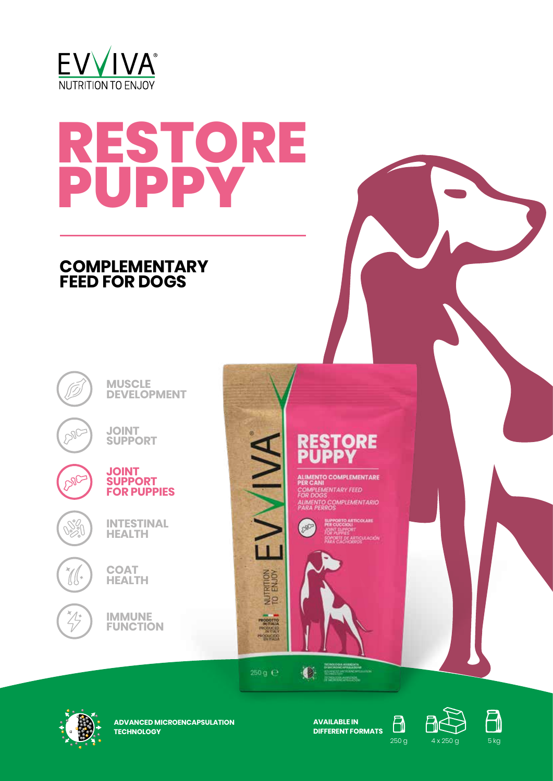

# **RESTORE PUPPY**

## **COMPLEMENTARY FEED FOR DOGS**



**IMMUNE FUNCTION**



ALIMENTO COMPLEMENTARE<br>PER CANI PER CANI<br>COMPLEMENTARY FEED<br>FOR DOGS **ALIMENTO COMPLEMENTARIO** 



 $250g \div$ 

NUTRITION<br>TO ENJOY

PRODUCED<br>PRODUCED<br>PRODUCED

IVIVA

 $\bullet$ 



**ADVANCED MICROENCAPSULATION TECHNOLOGY**

**AVAILABLE IN DIFFERENT FORMATS**